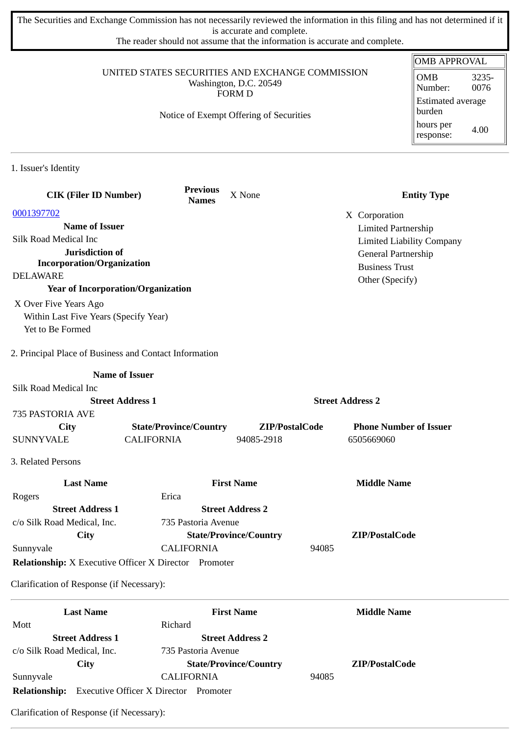The Securities and Exchange Commission has not necessarily reviewed the information in this filing and has not determined if it is accurate and complete.

The reader should not assume that the information is accurate and complete.

|                                                        |                                                              |                               |                            | <b>OMB APPROVAL</b>              |
|--------------------------------------------------------|--------------------------------------------------------------|-------------------------------|----------------------------|----------------------------------|
| UNITED STATES SECURITIES AND EXCHANGE COMMISSION       |                                                              |                               |                            | <b>OMB</b><br>3235-              |
| Washington, D.C. 20549<br><b>FORM D</b>                |                                                              |                               |                            | 0076<br>Number:                  |
|                                                        |                                                              |                               |                            | <b>Estimated average</b>         |
|                                                        | Notice of Exempt Offering of Securities                      |                               |                            | burden                           |
|                                                        |                                                              |                               |                            | hours per<br>4.00                |
|                                                        |                                                              |                               |                            | response:                        |
| 1. Issuer's Identity                                   |                                                              |                               |                            |                                  |
|                                                        |                                                              |                               |                            |                                  |
| <b>CIK (Filer ID Number)</b>                           | <b>Previous</b><br><b>Names</b>                              | X None                        |                            | <b>Entity Type</b>               |
| 0001397702                                             |                                                              |                               | X Corporation              |                                  |
| <b>Name of Issuer</b>                                  |                                                              |                               | <b>Limited Partnership</b> |                                  |
| Silk Road Medical Inc                                  |                                                              |                               |                            | <b>Limited Liability Company</b> |
| Jurisdiction of                                        |                                                              |                               | General Partnership        |                                  |
| <b>Incorporation/Organization</b>                      |                                                              |                               | <b>Business Trust</b>      |                                  |
| <b>DELAWARE</b>                                        |                                                              |                               | Other (Specify)            |                                  |
| <b>Year of Incorporation/Organization</b>              |                                                              |                               |                            |                                  |
| X Over Five Years Ago                                  |                                                              |                               |                            |                                  |
| Within Last Five Years (Specify Year)                  |                                                              |                               |                            |                                  |
| Yet to Be Formed                                       |                                                              |                               |                            |                                  |
| 2. Principal Place of Business and Contact Information |                                                              |                               |                            |                                  |
|                                                        | <b>Name of Issuer</b>                                        |                               |                            |                                  |
| Silk Road Medical Inc                                  |                                                              |                               |                            |                                  |
|                                                        | <b>Street Address 1</b>                                      |                               | <b>Street Address 2</b>    |                                  |
| 735 PASTORIA AVE                                       |                                                              |                               |                            |                                  |
| City                                                   | <b>State/Province/Country</b>                                | ZIP/PostalCode                |                            | <b>Phone Number of Issuer</b>    |
| <b>SUNNYVALE</b>                                       | <b>CALIFORNIA</b>                                            | 94085-2918                    | 6505669060                 |                                  |
| 3. Related Persons                                     |                                                              |                               |                            |                                  |
| <b>Last Name</b>                                       |                                                              | <b>First Name</b>             | <b>Middle Name</b>         |                                  |
| Rogers                                                 | Erica                                                        |                               |                            |                                  |
| <b>Street Address 1</b>                                |                                                              | <b>Street Address 2</b>       |                            |                                  |
| c/o Silk Road Medical, Inc.                            | 735 Pastoria Avenue                                          |                               |                            |                                  |
| <b>City</b>                                            |                                                              | <b>State/Province/Country</b> | ZIP/PostalCode             |                                  |
| Sunnyvale                                              | <b>CALIFORNIA</b>                                            |                               | 94085                      |                                  |
|                                                        | <b>Relationship:</b> X Executive Officer X Director Promoter |                               |                            |                                  |
|                                                        |                                                              |                               |                            |                                  |
| Clarification of Response (if Necessary):              |                                                              |                               |                            |                                  |
| <b>Last Name</b>                                       |                                                              | <b>First Name</b>             | <b>Middle Name</b>         |                                  |
| Mott                                                   | Richard                                                      |                               |                            |                                  |
| <b>Street Address 1</b>                                |                                                              | <b>Street Address 2</b>       |                            |                                  |
| c/o Silk Road Medical, Inc.                            | 735 Pastoria Avenue                                          |                               |                            |                                  |
| City                                                   |                                                              | <b>State/Province/Country</b> | ZIP/PostalCode             |                                  |
| Sunnyvale                                              | <b>CALIFORNIA</b>                                            |                               | 94085                      |                                  |

**Relationship:** Executive Officer X Director Promoter Clarification of Response (if Necessary):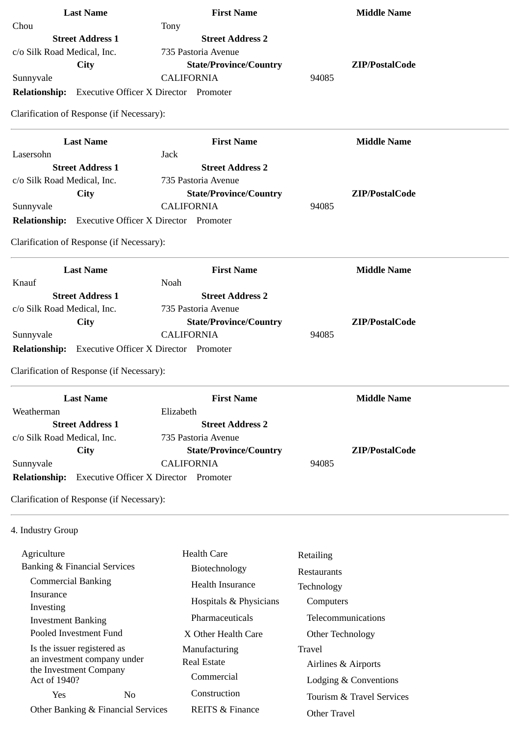| <b>Last Name</b>                                                        | <b>First Name</b>                            | <b>Middle Name</b>      |
|-------------------------------------------------------------------------|----------------------------------------------|-------------------------|
| Chou                                                                    | Tony                                         |                         |
| <b>Street Address 1</b>                                                 | <b>Street Address 2</b>                      |                         |
| c/o Silk Road Medical, Inc.                                             | 735 Pastoria Avenue                          |                         |
| <b>City</b>                                                             | <b>State/Province/Country</b>                | ZIP/PostalCode          |
| Sunnyvale                                                               | <b>CALIFORNIA</b>                            | 94085                   |
| <b>Relationship:</b> Executive Officer X Director Promoter              |                                              |                         |
| Clarification of Response (if Necessary):                               |                                              |                         |
| <b>Last Name</b>                                                        | <b>First Name</b>                            | <b>Middle Name</b>      |
| Lasersohn                                                               | <b>Jack</b>                                  |                         |
| <b>Street Address 1</b>                                                 | <b>Street Address 2</b>                      |                         |
| c/o Silk Road Medical, Inc.                                             | 735 Pastoria Avenue                          |                         |
| City                                                                    | <b>State/Province/Country</b>                | ZIP/PostalCode          |
| Sunnyvale                                                               | <b>CALIFORNIA</b>                            | 94085                   |
| <b>Relationship:</b> Executive Officer X Director Promoter              |                                              |                         |
| Clarification of Response (if Necessary):                               |                                              |                         |
| <b>Last Name</b>                                                        | <b>First Name</b>                            | <b>Middle Name</b>      |
| Knauf                                                                   | Noah                                         |                         |
| <b>Street Address 1</b>                                                 | <b>Street Address 2</b>                      |                         |
| c/o Silk Road Medical, Inc.                                             | 735 Pastoria Avenue                          |                         |
| City                                                                    | <b>State/Province/Country</b>                | ZIP/PostalCode<br>94085 |
| Sunnyvale<br><b>Relationship:</b> Executive Officer X Director Promoter | <b>CALIFORNIA</b>                            |                         |
|                                                                         |                                              |                         |
| Clarification of Response (if Necessary):                               |                                              |                         |
| <b>Last Name</b>                                                        | <b>First Name</b>                            | <b>Middle Name</b>      |
| Weatherman                                                              | Elizabeth                                    |                         |
| <b>Street Address 1</b>                                                 | <b>Street Address 2</b>                      |                         |
| c/o Silk Road Medical, Inc.                                             | 735 Pastoria Avenue                          |                         |
| City                                                                    | <b>State/Province/Country</b>                | ZIP/PostalCode          |
| Sunnyvale                                                               | <b>CALIFORNIA</b>                            | 94085                   |
| <b>Relationship:</b>                                                    | <b>Executive Officer X Director Promoter</b> |                         |
| Clarification of Response (if Necessary):                               |                                              |                         |
| 4. Industry Group                                                       |                                              |                         |
| Agriculture                                                             | <b>Health Care</b>                           | Retailing               |
| <b>Banking &amp; Financial Services</b>                                 | Biotechnology                                | Restaurants             |
| <b>Commercial Banking</b>                                               | <b>Health Insurance</b>                      |                         |
| Insurance                                                               |                                              | Technology              |
| Investing                                                               | Hospitals & Physicians                       | Computers               |
| <b>Investment Banking</b>                                               | Pharmaceuticals                              | Telecommunications      |
| Pooled Investment Fund                                                  | X Other Health Care                          | Other Technology        |
| Is the issuer registered as                                             | Manufacturing                                | <b>Travel</b>           |
| an investment company under                                             | <b>Real Estate</b>                           | Airlines & Airports     |
| the Investment Company<br>Act of 1940?                                  | Commercial                                   | Lodging & Conventions   |
|                                                                         |                                              |                         |

REITS & Finance

Tourism & Travel Services

Other Travel

Yes No Other Banking & Financial Services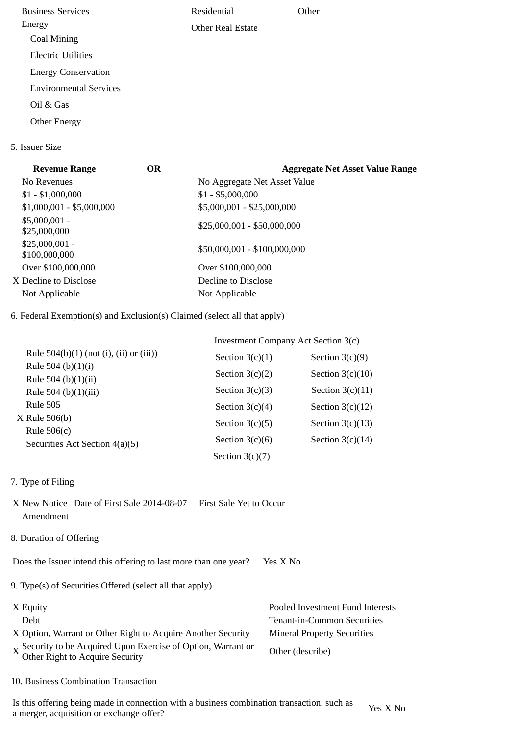Business Services Energy Coal Mining Electric Utilities Energy Conservation Environmental Services Oil & Gas Other Energy Residential Other Real Estate **Other** 

## 5. Issuer Size

| <b>Revenue Range</b>             | <b>OR</b> | <b>Aggregate Net Asset Value Range</b> |
|----------------------------------|-----------|----------------------------------------|
| No Revenues                      |           | No Aggregate Net Asset Value           |
| $$1 - $1,000,000$                |           | $$1 - $5,000,000$                      |
| $$1,000,001 - $5,000,000$        |           | \$5,000,001 - \$25,000,000             |
| $$5,000,001 -$<br>\$25,000,000   |           | \$25,000,001 - \$50,000,000            |
| $$25,000,001 -$<br>\$100,000,000 |           | \$50,000,001 - \$100,000,000           |
| Over \$100,000,000               |           | Over \$100,000,000                     |
| X Decline to Disclose            |           | Decline to Disclose                    |
| Not Applicable                   |           | Not Applicable                         |
|                                  |           |                                        |

6. Federal Exemption(s) and Exclusion(s) Claimed (select all that apply)

|                                                 | Investment Company Act Section 3(c) |                    |  |
|-------------------------------------------------|-------------------------------------|--------------------|--|
| Rule $504(b)(1)$ (not (i), (ii) or (iii))       | Section $3(c)(1)$                   | Section $3(c)(9)$  |  |
| Rule 504 (b) $(1)(i)$<br>Rule 504 (b) $(1)(ii)$ | Section $3(c)(2)$                   | Section $3(c)(10)$ |  |
| Rule 504 (b)(1)(iii)                            | Section $3(c)(3)$                   | Section $3(c)(11)$ |  |
| <b>Rule 505</b>                                 | Section $3(c)(4)$                   | Section $3(c)(12)$ |  |
| $X$ Rule 506(b)<br>Rule $506(c)$                | Section $3(c)(5)$                   | Section $3(c)(13)$ |  |
| Securities Act Section 4(a)(5)                  | Section $3(c)(6)$                   | Section $3(c)(14)$ |  |
|                                                 | Section $3(c)(7)$                   |                    |  |

- 7. Type of Filing
- X New Notice Date of First Sale 2014-08-07 First Sale Yet to Occur Amendment
- 8. Duration of Offering

Does the Issuer intend this offering to last more than one year? Yes X No

9. Type(s) of Securities Offered (select all that apply)

| X Equity                                                                                      | Pooled Investment Fund Interests   |
|-----------------------------------------------------------------------------------------------|------------------------------------|
| Debt                                                                                          | Tenant-in-Common Securities        |
| X Option, Warrant or Other Right to Acquire Another Security                                  | <b>Mineral Property Securities</b> |
| X Security to be Acquired Upon Exercise of Option, Warrant or Other Right to Acquire Security | Other (describe)                   |

10. Business Combination Transaction

Is this offering being made in connection with a business combination transaction, such as is this oriening being made in connection with a business combination transaction, such as  $Y$ es X No a merger, acquisition or exchange offer?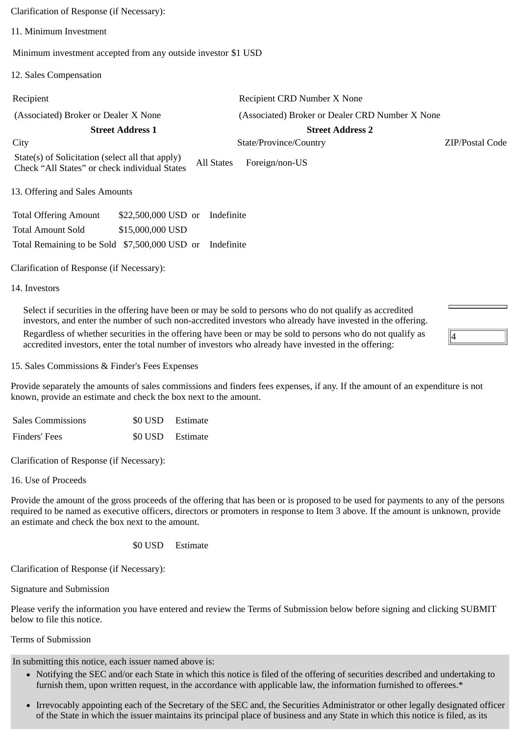Clarification of Response (if Necessary): 11. Minimum Investment Minimum investment accepted from any outside investor \$1 USD 12. Sales Compensation Recipient Recipient CRD Number X None (Associated) Broker or Dealer X None (Associated) Broker or Dealer CRD Number X None **Street Address 1 Street Address 2** City State/Province/Country ZIP/Postal Code State(s) of Solicitation (select all that apply) Check "All States" or check individual States All States Foreign/non-US 13. Offering and Sales Amounts Total Offering Amount \$22,500,000 USD or Indefinite Total Amount Sold \$15,000,000 USD Total Remaining to be Sold \$7,500,000 USD or Indefinite

Clarification of Response (if Necessary):

14. Investors

Select if securities in the offering have been or may be sold to persons who do not qualify as accredited investors, and enter the number of such non-accredited investors who already have invested in the offering. Regardless of whether securities in the offering have been or may be sold to persons who do not qualify as accredited investors, enter the total number of investors who already have invested in the offering:

15. Sales Commissions & Finder's Fees Expenses

Provide separately the amounts of sales commissions and finders fees expenses, if any. If the amount of an expenditure is not known, provide an estimate and check the box next to the amount.

4

| <b>Sales Commissions</b> | \$0 USD Estimate |
|--------------------------|------------------|
| Finders' Fees            | \$0 USD Estimate |

Clarification of Response (if Necessary):

16. Use of Proceeds

Provide the amount of the gross proceeds of the offering that has been or is proposed to be used for payments to any of the persons required to be named as executive officers, directors or promoters in response to Item 3 above. If the amount is unknown, provide an estimate and check the box next to the amount.

\$0 USD Estimate

Clarification of Response (if Necessary):

Signature and Submission

Please verify the information you have entered and review the Terms of Submission below before signing and clicking SUBMIT below to file this notice.

Terms of Submission

In submitting this notice, each issuer named above is:

- Notifying the SEC and/or each State in which this notice is filed of the offering of securities described and undertaking to furnish them, upon written request, in the accordance with applicable law, the information furnished to offerees.\*
- Irrevocably appointing each of the Secretary of the SEC and, the Securities Administrator or other legally designated officer of the State in which the issuer maintains its principal place of business and any State in which this notice is filed, as its